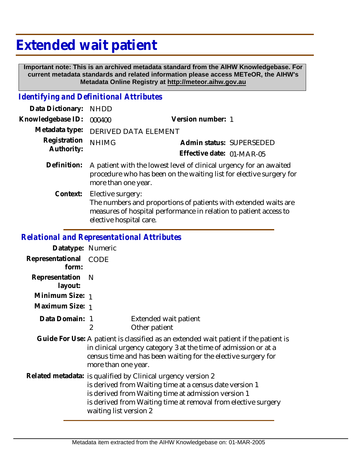## **Extended wait patient**

 **Important note: This is an archived metadata standard from the AIHW Knowledgebase. For current metadata standards and related information please access METeOR, the AIHW's Metadata Online Registry at http://meteor.aihw.gov.au**

## *Identifying and Definitional Attributes*

| Data Dictionary:                                  | <b>NHDD</b>                                                                                                                                                                                                                                     |                                                       |  |
|---------------------------------------------------|-------------------------------------------------------------------------------------------------------------------------------------------------------------------------------------------------------------------------------------------------|-------------------------------------------------------|--|
| Knowledgebase ID:                                 | 000400                                                                                                                                                                                                                                          | Version number: 1                                     |  |
| Metadata type:                                    | DERIVED DATA ELEMENT                                                                                                                                                                                                                            |                                                       |  |
| Registration<br>Authority:                        | <b>NHIMG</b>                                                                                                                                                                                                                                    | Admin status: SUPERSEDED<br>Effective date: 01-MAR-05 |  |
| Definition:                                       | A patient with the lowest level of clinical urgency for an awaited<br>procedure who has been on the waiting list for elective surgery for<br>more than one year.                                                                                |                                                       |  |
| Context:                                          | Elective surgery:<br>The numbers and proportions of patients with extended waits are<br>measures of hospital performance in relation to patient access to<br>elective hospital care.                                                            |                                                       |  |
| <b>Relational and Representational Attributes</b> |                                                                                                                                                                                                                                                 |                                                       |  |
| Datatype: Numeric                                 |                                                                                                                                                                                                                                                 |                                                       |  |
| Representational<br>form:                         | <b>CODE</b>                                                                                                                                                                                                                                     |                                                       |  |
| Representation<br>layout:                         | $\mathsf{N}$                                                                                                                                                                                                                                    |                                                       |  |
| Minimum Size: 1                                   |                                                                                                                                                                                                                                                 |                                                       |  |
| Maximum Size: 1                                   |                                                                                                                                                                                                                                                 |                                                       |  |
| Data Domain: 1                                    | $\overline{2}$                                                                                                                                                                                                                                  | Extended wait patient<br>Other patient                |  |
|                                                   | Guide For Use: A patient is classified as an extended wait patient if the patient is<br>in clinical urgency category 3 at the time of admission or at a<br>census time and has been waiting for the elective surgery for<br>more than one year. |                                                       |  |

Related metadata: is qualified by Clinical urgency version 2 is derived from Waiting time at a census date version 1 is derived from Waiting time at admission version 1 is derived from Waiting time at removal from elective surgery waiting list version 2